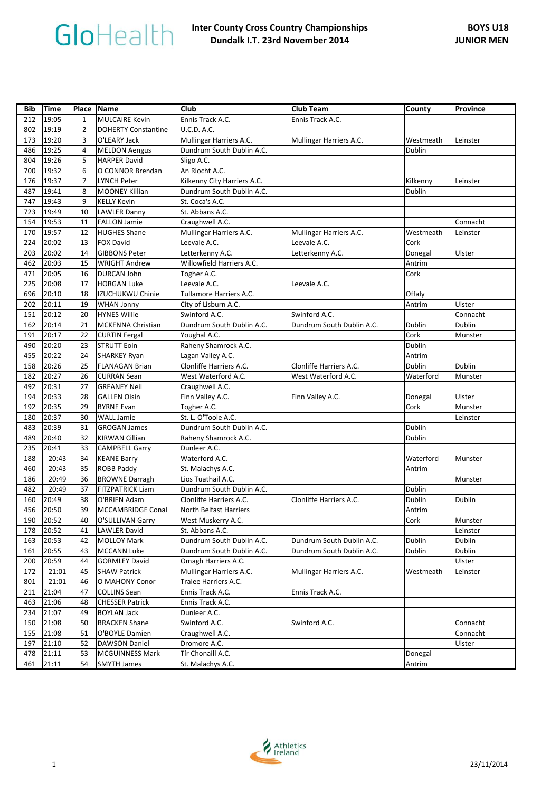| 212<br>19:05<br><b>MULCAIRE Kevin</b><br>Ennis Track A.C.<br>$\mathbf{1}$<br>Ennis Track A.C.<br><b>U.C.D. A.C.</b><br>802<br>19:19<br>$\overline{2}$<br><b>DOHERTY Constantine</b><br>19:20<br>3<br>O'LEARY Jack<br>Mullingar Harriers A.C.<br>Mullingar Harriers A.C.<br>173<br>Westmeath<br>Leinster<br>19:25<br>486<br>4<br>Dundrum South Dublin A.C.<br>Dublin<br><b>MELDON Aengus</b><br>804<br>19:26<br>5<br><b>HARPER David</b><br>Sligo A.C.<br>700<br>19:32<br>6<br>O CONNOR Brendan<br>An Riocht A.C.<br>19:37<br>$\overline{7}$<br>Kilkenny City Harriers A.C.<br>176<br><b>LYNCH Peter</b><br>Kilkenny<br>Leinster<br>19:41<br>Dublin<br>487<br>8<br><b>MOONEY Killian</b><br>Dundrum South Dublin A.C.<br>747<br>19:43<br>9<br><b>KELLY Kevin</b><br>St. Coca's A.C.<br>723<br>19:49<br>10<br>St. Abbans A.C.<br><b>LAWLER Danny</b><br>19:53<br>154<br><b>FALLON Jamie</b><br>Craughwell A.C.<br>Connacht<br>11<br>170<br>19:57<br>12<br><b>HUGHES Shane</b><br>Mullingar Harriers A.C.<br>Mullingar Harriers A.C.<br>Westmeath<br>Leinster<br>Leevale A.C.<br>Cork<br>224<br>20:02<br><b>FOX David</b><br>Leevale A.C.<br>13<br>Letterkenny A.C.<br>203<br>20:02<br><b>GIBBONS Peter</b><br>Letterkenny A.C.<br>Donegal<br>Ulster<br>14<br>20:03<br>462<br>15<br>Willowfield Harriers A.C.<br>Antrim<br><b>WRIGHT Andrew</b><br>471<br>20:05<br>16<br>DURCAN John<br>Cork<br>Togher A.C.<br>225<br>20:08<br>17<br><b>HORGAN Luke</b><br>Leevale A.C.<br>Leevale A.C.<br>696<br>20:10<br>Tullamore Harriers A.C.<br>Offaly<br>18<br>IZUCHUKWU Chinie<br>20:11<br>202<br>City of Lisburn A.C.<br>Antrim<br>Ulster<br>19<br><b>WHAN Jonny</b><br>151<br>20:12<br><b>HYNES Willie</b><br>Swinford A.C.<br>Swinford A.C.<br>Connacht<br>20<br>Dublin<br>162<br>20:14<br>MCKENNA Christian<br>Dundrum South Dublin A.C.<br>Dundrum South Dublin A.C.<br>Dublin<br>21<br>Cork<br>191<br>20:17<br>22<br>Youghal A.C.<br><b>CURTIN Fergal</b><br>Munster<br>Raheny Shamrock A.C.<br>20:20<br><b>STRUTT Eoin</b><br>Dublin<br>490<br>23<br>455<br>20:22<br>24<br>Lagan Valley A.C.<br>Antrim<br>SHARKEY Ryan<br>Clonliffe Harriers A.C.<br>Clonliffe Harriers A.C.<br>Dublin<br>Dublin<br>20:26<br>FLANAGAN Brian<br>158<br>25<br>182<br>20:27<br>26<br><b>CURRAN Sean</b><br>West Waterford A.C.<br>Waterford<br>West Waterford A.C.<br>Munster<br>492<br>20:31<br><b>GREANEY Neil</b><br>27<br>Craughwell A.C.<br>194<br>20:33<br><b>GALLEN Oisin</b><br>Finn Valley A.C.<br>Ulster<br>28<br>Finn Valley A.C.<br>Donegal<br>20:35<br>192<br>29<br><b>BYRNE Evan</b><br>Togher A.C.<br>Cork<br>Munster<br>20:37<br>St. L. O'Toole A.C.<br>180<br><b>WALL Jamie</b><br>30<br>Leinster<br>Dublin<br>483<br>20:39<br>Dundrum South Dublin A.C.<br>31<br><b>GROGAN James</b><br>489<br>20:40<br>32<br>Raheny Shamrock A.C.<br>Dublin<br><b>KIRWAN Cillian</b><br>235<br>20:41<br>33<br><b>CAMPBELL Garry</b><br>Dunleer A.C.<br>20:43<br><b>KEANE Barry</b><br>Waterford A.C.<br>Waterford<br>188<br>34<br>Munster<br>460<br>20:43<br>35<br><b>ROBB Paddy</b><br>St. Malachys A.C.<br>Antrim<br>20:49<br>186<br>36<br><b>BROWNE Darragh</b><br>Lios Tuathail A.C.<br>Munster<br>Dublin<br>482<br>20:49<br>37<br><b>FITZPATRICK Liam</b><br>Dundrum South Dublin A.C.<br>Dublin<br>160<br>20:49<br>38<br>O'BRIEN Adam<br>Clonliffe Harriers A.C.<br>Clonliffe Harriers A.C.<br>Dublin<br>456<br>20:50<br>39<br><b>MCCAMBRIDGE Conal</b><br>North Belfast Harriers<br>Antrim<br>190<br>20:52<br>40<br>Cork<br>O'SULLIVAN Garry<br>West Muskerry A.C.<br>Munster<br>20:52<br>LAWLER David<br>St. Abbans A.C.<br>Leinster<br>178<br>41 | Bib | <b>Time</b> |    | Place   Name | <b>Club</b>               | <b>Club Team</b>          | County | <b>Province</b> |
|---------------------------------------------------------------------------------------------------------------------------------------------------------------------------------------------------------------------------------------------------------------------------------------------------------------------------------------------------------------------------------------------------------------------------------------------------------------------------------------------------------------------------------------------------------------------------------------------------------------------------------------------------------------------------------------------------------------------------------------------------------------------------------------------------------------------------------------------------------------------------------------------------------------------------------------------------------------------------------------------------------------------------------------------------------------------------------------------------------------------------------------------------------------------------------------------------------------------------------------------------------------------------------------------------------------------------------------------------------------------------------------------------------------------------------------------------------------------------------------------------------------------------------------------------------------------------------------------------------------------------------------------------------------------------------------------------------------------------------------------------------------------------------------------------------------------------------------------------------------------------------------------------------------------------------------------------------------------------------------------------------------------------------------------------------------------------------------------------------------------------------------------------------------------------------------------------------------------------------------------------------------------------------------------------------------------------------------------------------------------------------------------------------------------------------------------------------------------------------------------------------------------------------------------------------------------------------------------------------------------------------------------------------------------------------------------------------------------------------------------------------------------------------------------------------------------------------------------------------------------------------------------------------------------------------------------------------------------------------------------------------------------------------------------------------------------------------------------------------------------------------------------------------------------------------------------------------------------------------------------------------------------------------------------------------------------------------------------------------------------------------------------------------------------------------------------------------------------------------------------------------------------------------------------------------------------------------------------------------------------------------------|-----|-------------|----|--------------|---------------------------|---------------------------|--------|-----------------|
|                                                                                                                                                                                                                                                                                                                                                                                                                                                                                                                                                                                                                                                                                                                                                                                                                                                                                                                                                                                                                                                                                                                                                                                                                                                                                                                                                                                                                                                                                                                                                                                                                                                                                                                                                                                                                                                                                                                                                                                                                                                                                                                                                                                                                                                                                                                                                                                                                                                                                                                                                                                                                                                                                                                                                                                                                                                                                                                                                                                                                                                                                                                                                                                                                                                                                                                                                                                                                                                                                                                                                                                                                                       |     |             |    |              |                           |                           |        |                 |
|                                                                                                                                                                                                                                                                                                                                                                                                                                                                                                                                                                                                                                                                                                                                                                                                                                                                                                                                                                                                                                                                                                                                                                                                                                                                                                                                                                                                                                                                                                                                                                                                                                                                                                                                                                                                                                                                                                                                                                                                                                                                                                                                                                                                                                                                                                                                                                                                                                                                                                                                                                                                                                                                                                                                                                                                                                                                                                                                                                                                                                                                                                                                                                                                                                                                                                                                                                                                                                                                                                                                                                                                                                       |     |             |    |              |                           |                           |        |                 |
|                                                                                                                                                                                                                                                                                                                                                                                                                                                                                                                                                                                                                                                                                                                                                                                                                                                                                                                                                                                                                                                                                                                                                                                                                                                                                                                                                                                                                                                                                                                                                                                                                                                                                                                                                                                                                                                                                                                                                                                                                                                                                                                                                                                                                                                                                                                                                                                                                                                                                                                                                                                                                                                                                                                                                                                                                                                                                                                                                                                                                                                                                                                                                                                                                                                                                                                                                                                                                                                                                                                                                                                                                                       |     |             |    |              |                           |                           |        |                 |
|                                                                                                                                                                                                                                                                                                                                                                                                                                                                                                                                                                                                                                                                                                                                                                                                                                                                                                                                                                                                                                                                                                                                                                                                                                                                                                                                                                                                                                                                                                                                                                                                                                                                                                                                                                                                                                                                                                                                                                                                                                                                                                                                                                                                                                                                                                                                                                                                                                                                                                                                                                                                                                                                                                                                                                                                                                                                                                                                                                                                                                                                                                                                                                                                                                                                                                                                                                                                                                                                                                                                                                                                                                       |     |             |    |              |                           |                           |        |                 |
|                                                                                                                                                                                                                                                                                                                                                                                                                                                                                                                                                                                                                                                                                                                                                                                                                                                                                                                                                                                                                                                                                                                                                                                                                                                                                                                                                                                                                                                                                                                                                                                                                                                                                                                                                                                                                                                                                                                                                                                                                                                                                                                                                                                                                                                                                                                                                                                                                                                                                                                                                                                                                                                                                                                                                                                                                                                                                                                                                                                                                                                                                                                                                                                                                                                                                                                                                                                                                                                                                                                                                                                                                                       |     |             |    |              |                           |                           |        |                 |
|                                                                                                                                                                                                                                                                                                                                                                                                                                                                                                                                                                                                                                                                                                                                                                                                                                                                                                                                                                                                                                                                                                                                                                                                                                                                                                                                                                                                                                                                                                                                                                                                                                                                                                                                                                                                                                                                                                                                                                                                                                                                                                                                                                                                                                                                                                                                                                                                                                                                                                                                                                                                                                                                                                                                                                                                                                                                                                                                                                                                                                                                                                                                                                                                                                                                                                                                                                                                                                                                                                                                                                                                                                       |     |             |    |              |                           |                           |        |                 |
|                                                                                                                                                                                                                                                                                                                                                                                                                                                                                                                                                                                                                                                                                                                                                                                                                                                                                                                                                                                                                                                                                                                                                                                                                                                                                                                                                                                                                                                                                                                                                                                                                                                                                                                                                                                                                                                                                                                                                                                                                                                                                                                                                                                                                                                                                                                                                                                                                                                                                                                                                                                                                                                                                                                                                                                                                                                                                                                                                                                                                                                                                                                                                                                                                                                                                                                                                                                                                                                                                                                                                                                                                                       |     |             |    |              |                           |                           |        |                 |
|                                                                                                                                                                                                                                                                                                                                                                                                                                                                                                                                                                                                                                                                                                                                                                                                                                                                                                                                                                                                                                                                                                                                                                                                                                                                                                                                                                                                                                                                                                                                                                                                                                                                                                                                                                                                                                                                                                                                                                                                                                                                                                                                                                                                                                                                                                                                                                                                                                                                                                                                                                                                                                                                                                                                                                                                                                                                                                                                                                                                                                                                                                                                                                                                                                                                                                                                                                                                                                                                                                                                                                                                                                       |     |             |    |              |                           |                           |        |                 |
|                                                                                                                                                                                                                                                                                                                                                                                                                                                                                                                                                                                                                                                                                                                                                                                                                                                                                                                                                                                                                                                                                                                                                                                                                                                                                                                                                                                                                                                                                                                                                                                                                                                                                                                                                                                                                                                                                                                                                                                                                                                                                                                                                                                                                                                                                                                                                                                                                                                                                                                                                                                                                                                                                                                                                                                                                                                                                                                                                                                                                                                                                                                                                                                                                                                                                                                                                                                                                                                                                                                                                                                                                                       |     |             |    |              |                           |                           |        |                 |
|                                                                                                                                                                                                                                                                                                                                                                                                                                                                                                                                                                                                                                                                                                                                                                                                                                                                                                                                                                                                                                                                                                                                                                                                                                                                                                                                                                                                                                                                                                                                                                                                                                                                                                                                                                                                                                                                                                                                                                                                                                                                                                                                                                                                                                                                                                                                                                                                                                                                                                                                                                                                                                                                                                                                                                                                                                                                                                                                                                                                                                                                                                                                                                                                                                                                                                                                                                                                                                                                                                                                                                                                                                       |     |             |    |              |                           |                           |        |                 |
|                                                                                                                                                                                                                                                                                                                                                                                                                                                                                                                                                                                                                                                                                                                                                                                                                                                                                                                                                                                                                                                                                                                                                                                                                                                                                                                                                                                                                                                                                                                                                                                                                                                                                                                                                                                                                                                                                                                                                                                                                                                                                                                                                                                                                                                                                                                                                                                                                                                                                                                                                                                                                                                                                                                                                                                                                                                                                                                                                                                                                                                                                                                                                                                                                                                                                                                                                                                                                                                                                                                                                                                                                                       |     |             |    |              |                           |                           |        |                 |
|                                                                                                                                                                                                                                                                                                                                                                                                                                                                                                                                                                                                                                                                                                                                                                                                                                                                                                                                                                                                                                                                                                                                                                                                                                                                                                                                                                                                                                                                                                                                                                                                                                                                                                                                                                                                                                                                                                                                                                                                                                                                                                                                                                                                                                                                                                                                                                                                                                                                                                                                                                                                                                                                                                                                                                                                                                                                                                                                                                                                                                                                                                                                                                                                                                                                                                                                                                                                                                                                                                                                                                                                                                       |     |             |    |              |                           |                           |        |                 |
|                                                                                                                                                                                                                                                                                                                                                                                                                                                                                                                                                                                                                                                                                                                                                                                                                                                                                                                                                                                                                                                                                                                                                                                                                                                                                                                                                                                                                                                                                                                                                                                                                                                                                                                                                                                                                                                                                                                                                                                                                                                                                                                                                                                                                                                                                                                                                                                                                                                                                                                                                                                                                                                                                                                                                                                                                                                                                                                                                                                                                                                                                                                                                                                                                                                                                                                                                                                                                                                                                                                                                                                                                                       |     |             |    |              |                           |                           |        |                 |
|                                                                                                                                                                                                                                                                                                                                                                                                                                                                                                                                                                                                                                                                                                                                                                                                                                                                                                                                                                                                                                                                                                                                                                                                                                                                                                                                                                                                                                                                                                                                                                                                                                                                                                                                                                                                                                                                                                                                                                                                                                                                                                                                                                                                                                                                                                                                                                                                                                                                                                                                                                                                                                                                                                                                                                                                                                                                                                                                                                                                                                                                                                                                                                                                                                                                                                                                                                                                                                                                                                                                                                                                                                       |     |             |    |              |                           |                           |        |                 |
|                                                                                                                                                                                                                                                                                                                                                                                                                                                                                                                                                                                                                                                                                                                                                                                                                                                                                                                                                                                                                                                                                                                                                                                                                                                                                                                                                                                                                                                                                                                                                                                                                                                                                                                                                                                                                                                                                                                                                                                                                                                                                                                                                                                                                                                                                                                                                                                                                                                                                                                                                                                                                                                                                                                                                                                                                                                                                                                                                                                                                                                                                                                                                                                                                                                                                                                                                                                                                                                                                                                                                                                                                                       |     |             |    |              |                           |                           |        |                 |
|                                                                                                                                                                                                                                                                                                                                                                                                                                                                                                                                                                                                                                                                                                                                                                                                                                                                                                                                                                                                                                                                                                                                                                                                                                                                                                                                                                                                                                                                                                                                                                                                                                                                                                                                                                                                                                                                                                                                                                                                                                                                                                                                                                                                                                                                                                                                                                                                                                                                                                                                                                                                                                                                                                                                                                                                                                                                                                                                                                                                                                                                                                                                                                                                                                                                                                                                                                                                                                                                                                                                                                                                                                       |     |             |    |              |                           |                           |        |                 |
|                                                                                                                                                                                                                                                                                                                                                                                                                                                                                                                                                                                                                                                                                                                                                                                                                                                                                                                                                                                                                                                                                                                                                                                                                                                                                                                                                                                                                                                                                                                                                                                                                                                                                                                                                                                                                                                                                                                                                                                                                                                                                                                                                                                                                                                                                                                                                                                                                                                                                                                                                                                                                                                                                                                                                                                                                                                                                                                                                                                                                                                                                                                                                                                                                                                                                                                                                                                                                                                                                                                                                                                                                                       |     |             |    |              |                           |                           |        |                 |
|                                                                                                                                                                                                                                                                                                                                                                                                                                                                                                                                                                                                                                                                                                                                                                                                                                                                                                                                                                                                                                                                                                                                                                                                                                                                                                                                                                                                                                                                                                                                                                                                                                                                                                                                                                                                                                                                                                                                                                                                                                                                                                                                                                                                                                                                                                                                                                                                                                                                                                                                                                                                                                                                                                                                                                                                                                                                                                                                                                                                                                                                                                                                                                                                                                                                                                                                                                                                                                                                                                                                                                                                                                       |     |             |    |              |                           |                           |        |                 |
|                                                                                                                                                                                                                                                                                                                                                                                                                                                                                                                                                                                                                                                                                                                                                                                                                                                                                                                                                                                                                                                                                                                                                                                                                                                                                                                                                                                                                                                                                                                                                                                                                                                                                                                                                                                                                                                                                                                                                                                                                                                                                                                                                                                                                                                                                                                                                                                                                                                                                                                                                                                                                                                                                                                                                                                                                                                                                                                                                                                                                                                                                                                                                                                                                                                                                                                                                                                                                                                                                                                                                                                                                                       |     |             |    |              |                           |                           |        |                 |
|                                                                                                                                                                                                                                                                                                                                                                                                                                                                                                                                                                                                                                                                                                                                                                                                                                                                                                                                                                                                                                                                                                                                                                                                                                                                                                                                                                                                                                                                                                                                                                                                                                                                                                                                                                                                                                                                                                                                                                                                                                                                                                                                                                                                                                                                                                                                                                                                                                                                                                                                                                                                                                                                                                                                                                                                                                                                                                                                                                                                                                                                                                                                                                                                                                                                                                                                                                                                                                                                                                                                                                                                                                       |     |             |    |              |                           |                           |        |                 |
|                                                                                                                                                                                                                                                                                                                                                                                                                                                                                                                                                                                                                                                                                                                                                                                                                                                                                                                                                                                                                                                                                                                                                                                                                                                                                                                                                                                                                                                                                                                                                                                                                                                                                                                                                                                                                                                                                                                                                                                                                                                                                                                                                                                                                                                                                                                                                                                                                                                                                                                                                                                                                                                                                                                                                                                                                                                                                                                                                                                                                                                                                                                                                                                                                                                                                                                                                                                                                                                                                                                                                                                                                                       |     |             |    |              |                           |                           |        |                 |
|                                                                                                                                                                                                                                                                                                                                                                                                                                                                                                                                                                                                                                                                                                                                                                                                                                                                                                                                                                                                                                                                                                                                                                                                                                                                                                                                                                                                                                                                                                                                                                                                                                                                                                                                                                                                                                                                                                                                                                                                                                                                                                                                                                                                                                                                                                                                                                                                                                                                                                                                                                                                                                                                                                                                                                                                                                                                                                                                                                                                                                                                                                                                                                                                                                                                                                                                                                                                                                                                                                                                                                                                                                       |     |             |    |              |                           |                           |        |                 |
|                                                                                                                                                                                                                                                                                                                                                                                                                                                                                                                                                                                                                                                                                                                                                                                                                                                                                                                                                                                                                                                                                                                                                                                                                                                                                                                                                                                                                                                                                                                                                                                                                                                                                                                                                                                                                                                                                                                                                                                                                                                                                                                                                                                                                                                                                                                                                                                                                                                                                                                                                                                                                                                                                                                                                                                                                                                                                                                                                                                                                                                                                                                                                                                                                                                                                                                                                                                                                                                                                                                                                                                                                                       |     |             |    |              |                           |                           |        |                 |
|                                                                                                                                                                                                                                                                                                                                                                                                                                                                                                                                                                                                                                                                                                                                                                                                                                                                                                                                                                                                                                                                                                                                                                                                                                                                                                                                                                                                                                                                                                                                                                                                                                                                                                                                                                                                                                                                                                                                                                                                                                                                                                                                                                                                                                                                                                                                                                                                                                                                                                                                                                                                                                                                                                                                                                                                                                                                                                                                                                                                                                                                                                                                                                                                                                                                                                                                                                                                                                                                                                                                                                                                                                       |     |             |    |              |                           |                           |        |                 |
|                                                                                                                                                                                                                                                                                                                                                                                                                                                                                                                                                                                                                                                                                                                                                                                                                                                                                                                                                                                                                                                                                                                                                                                                                                                                                                                                                                                                                                                                                                                                                                                                                                                                                                                                                                                                                                                                                                                                                                                                                                                                                                                                                                                                                                                                                                                                                                                                                                                                                                                                                                                                                                                                                                                                                                                                                                                                                                                                                                                                                                                                                                                                                                                                                                                                                                                                                                                                                                                                                                                                                                                                                                       |     |             |    |              |                           |                           |        |                 |
|                                                                                                                                                                                                                                                                                                                                                                                                                                                                                                                                                                                                                                                                                                                                                                                                                                                                                                                                                                                                                                                                                                                                                                                                                                                                                                                                                                                                                                                                                                                                                                                                                                                                                                                                                                                                                                                                                                                                                                                                                                                                                                                                                                                                                                                                                                                                                                                                                                                                                                                                                                                                                                                                                                                                                                                                                                                                                                                                                                                                                                                                                                                                                                                                                                                                                                                                                                                                                                                                                                                                                                                                                                       |     |             |    |              |                           |                           |        |                 |
|                                                                                                                                                                                                                                                                                                                                                                                                                                                                                                                                                                                                                                                                                                                                                                                                                                                                                                                                                                                                                                                                                                                                                                                                                                                                                                                                                                                                                                                                                                                                                                                                                                                                                                                                                                                                                                                                                                                                                                                                                                                                                                                                                                                                                                                                                                                                                                                                                                                                                                                                                                                                                                                                                                                                                                                                                                                                                                                                                                                                                                                                                                                                                                                                                                                                                                                                                                                                                                                                                                                                                                                                                                       |     |             |    |              |                           |                           |        |                 |
|                                                                                                                                                                                                                                                                                                                                                                                                                                                                                                                                                                                                                                                                                                                                                                                                                                                                                                                                                                                                                                                                                                                                                                                                                                                                                                                                                                                                                                                                                                                                                                                                                                                                                                                                                                                                                                                                                                                                                                                                                                                                                                                                                                                                                                                                                                                                                                                                                                                                                                                                                                                                                                                                                                                                                                                                                                                                                                                                                                                                                                                                                                                                                                                                                                                                                                                                                                                                                                                                                                                                                                                                                                       |     |             |    |              |                           |                           |        |                 |
|                                                                                                                                                                                                                                                                                                                                                                                                                                                                                                                                                                                                                                                                                                                                                                                                                                                                                                                                                                                                                                                                                                                                                                                                                                                                                                                                                                                                                                                                                                                                                                                                                                                                                                                                                                                                                                                                                                                                                                                                                                                                                                                                                                                                                                                                                                                                                                                                                                                                                                                                                                                                                                                                                                                                                                                                                                                                                                                                                                                                                                                                                                                                                                                                                                                                                                                                                                                                                                                                                                                                                                                                                                       |     |             |    |              |                           |                           |        |                 |
|                                                                                                                                                                                                                                                                                                                                                                                                                                                                                                                                                                                                                                                                                                                                                                                                                                                                                                                                                                                                                                                                                                                                                                                                                                                                                                                                                                                                                                                                                                                                                                                                                                                                                                                                                                                                                                                                                                                                                                                                                                                                                                                                                                                                                                                                                                                                                                                                                                                                                                                                                                                                                                                                                                                                                                                                                                                                                                                                                                                                                                                                                                                                                                                                                                                                                                                                                                                                                                                                                                                                                                                                                                       |     |             |    |              |                           |                           |        |                 |
|                                                                                                                                                                                                                                                                                                                                                                                                                                                                                                                                                                                                                                                                                                                                                                                                                                                                                                                                                                                                                                                                                                                                                                                                                                                                                                                                                                                                                                                                                                                                                                                                                                                                                                                                                                                                                                                                                                                                                                                                                                                                                                                                                                                                                                                                                                                                                                                                                                                                                                                                                                                                                                                                                                                                                                                                                                                                                                                                                                                                                                                                                                                                                                                                                                                                                                                                                                                                                                                                                                                                                                                                                                       |     |             |    |              |                           |                           |        |                 |
|                                                                                                                                                                                                                                                                                                                                                                                                                                                                                                                                                                                                                                                                                                                                                                                                                                                                                                                                                                                                                                                                                                                                                                                                                                                                                                                                                                                                                                                                                                                                                                                                                                                                                                                                                                                                                                                                                                                                                                                                                                                                                                                                                                                                                                                                                                                                                                                                                                                                                                                                                                                                                                                                                                                                                                                                                                                                                                                                                                                                                                                                                                                                                                                                                                                                                                                                                                                                                                                                                                                                                                                                                                       |     |             |    |              |                           |                           |        |                 |
|                                                                                                                                                                                                                                                                                                                                                                                                                                                                                                                                                                                                                                                                                                                                                                                                                                                                                                                                                                                                                                                                                                                                                                                                                                                                                                                                                                                                                                                                                                                                                                                                                                                                                                                                                                                                                                                                                                                                                                                                                                                                                                                                                                                                                                                                                                                                                                                                                                                                                                                                                                                                                                                                                                                                                                                                                                                                                                                                                                                                                                                                                                                                                                                                                                                                                                                                                                                                                                                                                                                                                                                                                                       |     |             |    |              |                           |                           |        |                 |
|                                                                                                                                                                                                                                                                                                                                                                                                                                                                                                                                                                                                                                                                                                                                                                                                                                                                                                                                                                                                                                                                                                                                                                                                                                                                                                                                                                                                                                                                                                                                                                                                                                                                                                                                                                                                                                                                                                                                                                                                                                                                                                                                                                                                                                                                                                                                                                                                                                                                                                                                                                                                                                                                                                                                                                                                                                                                                                                                                                                                                                                                                                                                                                                                                                                                                                                                                                                                                                                                                                                                                                                                                                       |     |             |    |              |                           |                           |        |                 |
|                                                                                                                                                                                                                                                                                                                                                                                                                                                                                                                                                                                                                                                                                                                                                                                                                                                                                                                                                                                                                                                                                                                                                                                                                                                                                                                                                                                                                                                                                                                                                                                                                                                                                                                                                                                                                                                                                                                                                                                                                                                                                                                                                                                                                                                                                                                                                                                                                                                                                                                                                                                                                                                                                                                                                                                                                                                                                                                                                                                                                                                                                                                                                                                                                                                                                                                                                                                                                                                                                                                                                                                                                                       |     |             |    |              |                           |                           |        |                 |
|                                                                                                                                                                                                                                                                                                                                                                                                                                                                                                                                                                                                                                                                                                                                                                                                                                                                                                                                                                                                                                                                                                                                                                                                                                                                                                                                                                                                                                                                                                                                                                                                                                                                                                                                                                                                                                                                                                                                                                                                                                                                                                                                                                                                                                                                                                                                                                                                                                                                                                                                                                                                                                                                                                                                                                                                                                                                                                                                                                                                                                                                                                                                                                                                                                                                                                                                                                                                                                                                                                                                                                                                                                       |     |             |    |              |                           |                           |        |                 |
|                                                                                                                                                                                                                                                                                                                                                                                                                                                                                                                                                                                                                                                                                                                                                                                                                                                                                                                                                                                                                                                                                                                                                                                                                                                                                                                                                                                                                                                                                                                                                                                                                                                                                                                                                                                                                                                                                                                                                                                                                                                                                                                                                                                                                                                                                                                                                                                                                                                                                                                                                                                                                                                                                                                                                                                                                                                                                                                                                                                                                                                                                                                                                                                                                                                                                                                                                                                                                                                                                                                                                                                                                                       |     |             |    |              |                           |                           |        |                 |
|                                                                                                                                                                                                                                                                                                                                                                                                                                                                                                                                                                                                                                                                                                                                                                                                                                                                                                                                                                                                                                                                                                                                                                                                                                                                                                                                                                                                                                                                                                                                                                                                                                                                                                                                                                                                                                                                                                                                                                                                                                                                                                                                                                                                                                                                                                                                                                                                                                                                                                                                                                                                                                                                                                                                                                                                                                                                                                                                                                                                                                                                                                                                                                                                                                                                                                                                                                                                                                                                                                                                                                                                                                       |     |             |    |              |                           |                           |        |                 |
|                                                                                                                                                                                                                                                                                                                                                                                                                                                                                                                                                                                                                                                                                                                                                                                                                                                                                                                                                                                                                                                                                                                                                                                                                                                                                                                                                                                                                                                                                                                                                                                                                                                                                                                                                                                                                                                                                                                                                                                                                                                                                                                                                                                                                                                                                                                                                                                                                                                                                                                                                                                                                                                                                                                                                                                                                                                                                                                                                                                                                                                                                                                                                                                                                                                                                                                                                                                                                                                                                                                                                                                                                                       |     |             |    |              |                           |                           |        |                 |
|                                                                                                                                                                                                                                                                                                                                                                                                                                                                                                                                                                                                                                                                                                                                                                                                                                                                                                                                                                                                                                                                                                                                                                                                                                                                                                                                                                                                                                                                                                                                                                                                                                                                                                                                                                                                                                                                                                                                                                                                                                                                                                                                                                                                                                                                                                                                                                                                                                                                                                                                                                                                                                                                                                                                                                                                                                                                                                                                                                                                                                                                                                                                                                                                                                                                                                                                                                                                                                                                                                                                                                                                                                       |     |             |    |              |                           |                           |        |                 |
|                                                                                                                                                                                                                                                                                                                                                                                                                                                                                                                                                                                                                                                                                                                                                                                                                                                                                                                                                                                                                                                                                                                                                                                                                                                                                                                                                                                                                                                                                                                                                                                                                                                                                                                                                                                                                                                                                                                                                                                                                                                                                                                                                                                                                                                                                                                                                                                                                                                                                                                                                                                                                                                                                                                                                                                                                                                                                                                                                                                                                                                                                                                                                                                                                                                                                                                                                                                                                                                                                                                                                                                                                                       |     |             |    |              |                           |                           |        |                 |
|                                                                                                                                                                                                                                                                                                                                                                                                                                                                                                                                                                                                                                                                                                                                                                                                                                                                                                                                                                                                                                                                                                                                                                                                                                                                                                                                                                                                                                                                                                                                                                                                                                                                                                                                                                                                                                                                                                                                                                                                                                                                                                                                                                                                                                                                                                                                                                                                                                                                                                                                                                                                                                                                                                                                                                                                                                                                                                                                                                                                                                                                                                                                                                                                                                                                                                                                                                                                                                                                                                                                                                                                                                       | 163 | 20:53       | 42 | MOLLOY Mark  | Dundrum South Dublin A.C. | Dundrum South Dublin A.C. | Dublin | Dublin          |
| 20:55<br>Dublin<br>MCCANN Luke<br>Dundrum South Dublin A.C.<br>Dundrum South Dublin A.C.<br>Dublin<br>161<br>43                                                                                                                                                                                                                                                                                                                                                                                                                                                                                                                                                                                                                                                                                                                                                                                                                                                                                                                                                                                                                                                                                                                                                                                                                                                                                                                                                                                                                                                                                                                                                                                                                                                                                                                                                                                                                                                                                                                                                                                                                                                                                                                                                                                                                                                                                                                                                                                                                                                                                                                                                                                                                                                                                                                                                                                                                                                                                                                                                                                                                                                                                                                                                                                                                                                                                                                                                                                                                                                                                                                       |     |             |    |              |                           |                           |        |                 |
| 20:59<br>GORMLEY David<br>Omagh Harriers A.C.<br>Ulster<br>200<br>44                                                                                                                                                                                                                                                                                                                                                                                                                                                                                                                                                                                                                                                                                                                                                                                                                                                                                                                                                                                                                                                                                                                                                                                                                                                                                                                                                                                                                                                                                                                                                                                                                                                                                                                                                                                                                                                                                                                                                                                                                                                                                                                                                                                                                                                                                                                                                                                                                                                                                                                                                                                                                                                                                                                                                                                                                                                                                                                                                                                                                                                                                                                                                                                                                                                                                                                                                                                                                                                                                                                                                                  |     |             |    |              |                           |                           |        |                 |
| 172<br>21:01<br><b>SHAW Patrick</b><br>Mullingar Harriers A.C.<br>45<br>Mullingar Harriers A.C.<br>Westmeath<br>Leinster                                                                                                                                                                                                                                                                                                                                                                                                                                                                                                                                                                                                                                                                                                                                                                                                                                                                                                                                                                                                                                                                                                                                                                                                                                                                                                                                                                                                                                                                                                                                                                                                                                                                                                                                                                                                                                                                                                                                                                                                                                                                                                                                                                                                                                                                                                                                                                                                                                                                                                                                                                                                                                                                                                                                                                                                                                                                                                                                                                                                                                                                                                                                                                                                                                                                                                                                                                                                                                                                                                              |     |             |    |              |                           |                           |        |                 |
| 21:01<br>801<br>46<br>O MAHONY Conor<br>Tralee Harriers A.C.                                                                                                                                                                                                                                                                                                                                                                                                                                                                                                                                                                                                                                                                                                                                                                                                                                                                                                                                                                                                                                                                                                                                                                                                                                                                                                                                                                                                                                                                                                                                                                                                                                                                                                                                                                                                                                                                                                                                                                                                                                                                                                                                                                                                                                                                                                                                                                                                                                                                                                                                                                                                                                                                                                                                                                                                                                                                                                                                                                                                                                                                                                                                                                                                                                                                                                                                                                                                                                                                                                                                                                          |     |             |    |              |                           |                           |        |                 |
| 211<br>21:04<br><b>COLLINS Sean</b><br>Ennis Track A.C.<br>47<br>Ennis Track A.C.                                                                                                                                                                                                                                                                                                                                                                                                                                                                                                                                                                                                                                                                                                                                                                                                                                                                                                                                                                                                                                                                                                                                                                                                                                                                                                                                                                                                                                                                                                                                                                                                                                                                                                                                                                                                                                                                                                                                                                                                                                                                                                                                                                                                                                                                                                                                                                                                                                                                                                                                                                                                                                                                                                                                                                                                                                                                                                                                                                                                                                                                                                                                                                                                                                                                                                                                                                                                                                                                                                                                                     |     |             |    |              |                           |                           |        |                 |
| 21:06<br><b>CHESSER Patrick</b><br>463<br>48<br>Ennis Track A.C.                                                                                                                                                                                                                                                                                                                                                                                                                                                                                                                                                                                                                                                                                                                                                                                                                                                                                                                                                                                                                                                                                                                                                                                                                                                                                                                                                                                                                                                                                                                                                                                                                                                                                                                                                                                                                                                                                                                                                                                                                                                                                                                                                                                                                                                                                                                                                                                                                                                                                                                                                                                                                                                                                                                                                                                                                                                                                                                                                                                                                                                                                                                                                                                                                                                                                                                                                                                                                                                                                                                                                                      |     |             |    |              |                           |                           |        |                 |
| 234<br>21:07<br><b>BOYLAN Jack</b><br>Dunleer A.C.<br>49                                                                                                                                                                                                                                                                                                                                                                                                                                                                                                                                                                                                                                                                                                                                                                                                                                                                                                                                                                                                                                                                                                                                                                                                                                                                                                                                                                                                                                                                                                                                                                                                                                                                                                                                                                                                                                                                                                                                                                                                                                                                                                                                                                                                                                                                                                                                                                                                                                                                                                                                                                                                                                                                                                                                                                                                                                                                                                                                                                                                                                                                                                                                                                                                                                                                                                                                                                                                                                                                                                                                                                              |     |             |    |              |                           |                           |        |                 |
| 150<br>21:08<br><b>BRACKEN Shane</b><br>Swinford A.C.<br>Swinford A.C.<br>50<br>Connacht                                                                                                                                                                                                                                                                                                                                                                                                                                                                                                                                                                                                                                                                                                                                                                                                                                                                                                                                                                                                                                                                                                                                                                                                                                                                                                                                                                                                                                                                                                                                                                                                                                                                                                                                                                                                                                                                                                                                                                                                                                                                                                                                                                                                                                                                                                                                                                                                                                                                                                                                                                                                                                                                                                                                                                                                                                                                                                                                                                                                                                                                                                                                                                                                                                                                                                                                                                                                                                                                                                                                              |     |             |    |              |                           |                           |        |                 |
| 21:08<br>155<br>51<br>O'BOYLE Damien<br>Craughwell A.C.<br>Connacht                                                                                                                                                                                                                                                                                                                                                                                                                                                                                                                                                                                                                                                                                                                                                                                                                                                                                                                                                                                                                                                                                                                                                                                                                                                                                                                                                                                                                                                                                                                                                                                                                                                                                                                                                                                                                                                                                                                                                                                                                                                                                                                                                                                                                                                                                                                                                                                                                                                                                                                                                                                                                                                                                                                                                                                                                                                                                                                                                                                                                                                                                                                                                                                                                                                                                                                                                                                                                                                                                                                                                                   |     |             |    |              |                           |                           |        |                 |
| 21:10<br>52<br>Dromore A.C.<br>197<br><b>DAWSON Daniel</b><br>Ulster                                                                                                                                                                                                                                                                                                                                                                                                                                                                                                                                                                                                                                                                                                                                                                                                                                                                                                                                                                                                                                                                                                                                                                                                                                                                                                                                                                                                                                                                                                                                                                                                                                                                                                                                                                                                                                                                                                                                                                                                                                                                                                                                                                                                                                                                                                                                                                                                                                                                                                                                                                                                                                                                                                                                                                                                                                                                                                                                                                                                                                                                                                                                                                                                                                                                                                                                                                                                                                                                                                                                                                  |     |             |    |              |                           |                           |        |                 |
| 21:11<br>Tír Chonaill A.C.<br>478<br>53<br>MCGUINNESS Mark<br>Donegal                                                                                                                                                                                                                                                                                                                                                                                                                                                                                                                                                                                                                                                                                                                                                                                                                                                                                                                                                                                                                                                                                                                                                                                                                                                                                                                                                                                                                                                                                                                                                                                                                                                                                                                                                                                                                                                                                                                                                                                                                                                                                                                                                                                                                                                                                                                                                                                                                                                                                                                                                                                                                                                                                                                                                                                                                                                                                                                                                                                                                                                                                                                                                                                                                                                                                                                                                                                                                                                                                                                                                                 |     |             |    |              |                           |                           |        |                 |
| 21:11<br>461<br>54<br><b>SMYTH James</b><br>St. Malachys A.C.<br>Antrim                                                                                                                                                                                                                                                                                                                                                                                                                                                                                                                                                                                                                                                                                                                                                                                                                                                                                                                                                                                                                                                                                                                                                                                                                                                                                                                                                                                                                                                                                                                                                                                                                                                                                                                                                                                                                                                                                                                                                                                                                                                                                                                                                                                                                                                                                                                                                                                                                                                                                                                                                                                                                                                                                                                                                                                                                                                                                                                                                                                                                                                                                                                                                                                                                                                                                                                                                                                                                                                                                                                                                               |     |             |    |              |                           |                           |        |                 |

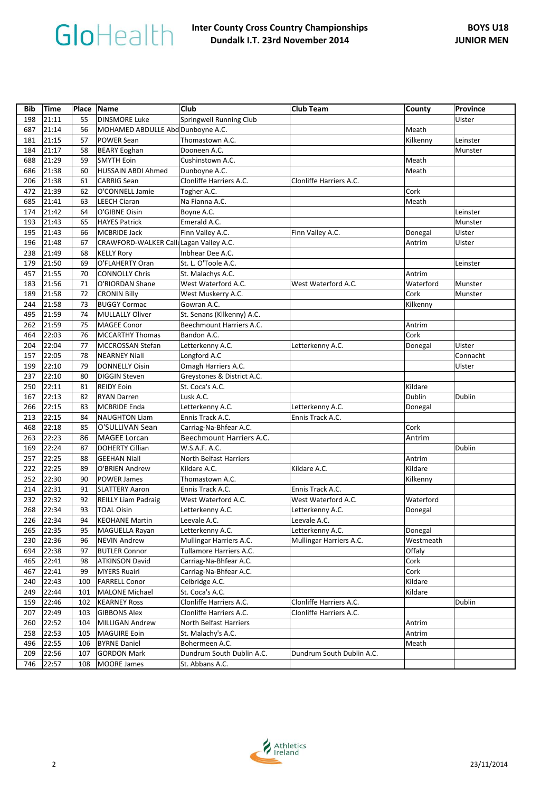| Bib | <b>Time</b> | Place Name |                                        | <b>Club</b>                   | <b>Club Team</b>          | County    | Province |
|-----|-------------|------------|----------------------------------------|-------------------------------|---------------------------|-----------|----------|
| 198 | 21:11       | 55         | <b>DINSMORE Luke</b>                   | Springwell Running Club       |                           |           | Ulster   |
| 687 | 21:14       | 56         | MOHAMED ABDULLE Abd Dunboyne A.C.      |                               |                           | Meath     |          |
| 181 | 21:15       | 57         | POWER Sean                             | Thomastown A.C.               |                           | Kilkenny  | Leinster |
| 184 | 21:17       | 58         | <b>BEARY Eoghan</b>                    | Dooneen A.C.                  |                           |           | Munster  |
| 688 | 21:29       | 59         | <b>SMYTH Eoin</b>                      | Cushinstown A.C.              |                           | Meath     |          |
| 686 | 21:38       | 60         | <b>HUSSAIN ABDI Ahmed</b>              | Dunboyne A.C.                 |                           | Meath     |          |
| 206 | 21:38       | 61         | <b>CARRIG Sean</b>                     | Clonliffe Harriers A.C.       | Clonliffe Harriers A.C.   |           |          |
| 472 | 21:39       | 62         | O'CONNELL Jamie                        | Togher A.C.                   |                           | Cork      |          |
| 685 | 21:41       | 63         | <b>LEECH Ciaran</b>                    | Na Fianna A.C.                |                           | Meath     |          |
| 174 | 21:42       | 64         | O'GIBNE Oisin                          | Boyne A.C.                    |                           |           | Leinster |
| 193 | 21:43       | 65         | <b>HAYES Patrick</b>                   | Emerald A.C.                  |                           |           | Munster  |
| 195 | 21:43       | 66         | <b>MCBRIDE Jack</b>                    | Finn Valley A.C.              | Finn Valley A.C.          | Donegal   | Ulster   |
| 196 | 21:48       | 67         | CRAWFORD-WALKER Call Lagan Valley A.C. |                               |                           | Antrim    | Ulster   |
| 238 | 21:49       | 68         | <b>KELLY Rory</b>                      | Inbhear Dee A.C.              |                           |           |          |
| 179 | 21:50       | 69         | O'FLAHERTY Oran                        | St. L. O'Toole A.C.           |                           |           | Leinster |
| 457 | 21:55       | 70         | <b>CONNOLLY Chris</b>                  | St. Malachys A.C.             |                           | Antrim    |          |
| 183 | 21:56       | 71         | O'RIORDAN Shane                        | West Waterford A.C.           | West Waterford A.C.       | Waterford | Munster  |
| 189 | 21:58       | 72         | <b>CRONIN Billy</b>                    | West Muskerry A.C.            |                           | Cork      | Munster  |
| 244 | 21:58       | 73         | <b>BUGGY Cormac</b>                    | Gowran A.C.                   |                           | Kilkenny  |          |
| 495 | 21:59       | 74         | <b>MULLALLY Oliver</b>                 | St. Senans (Kilkenny) A.C.    |                           |           |          |
| 262 | 21:59       | 75         | <b>MAGEE Conor</b>                     | Beechmount Harriers A.C.      |                           | Antrim    |          |
| 464 | 22:03       | 76         | <b>MCCARTHY Thomas</b>                 | Bandon A.C.                   |                           | Cork      |          |
| 204 | 22:04       | 77         | MCCROSSAN Stefan                       | Letterkenny A.C.              | Letterkenny A.C.          | Donegal   | Ulster   |
| 157 | 22:05       | 78         | <b>NEARNEY Niall</b>                   | Longford A.C                  |                           |           | Connacht |
| 199 | 22:10       | 79         | <b>DONNELLY Oisin</b>                  | Omagh Harriers A.C.           |                           |           | Ulster   |
| 237 | 22:10       | 80         | <b>DIGGIN Steven</b>                   | Greystones & District A.C.    |                           |           |          |
| 250 | 22:11       | 81         | <b>REIDY Eoin</b>                      | St. Coca's A.C.               |                           | Kildare   |          |
| 167 | 22:13       | 82         | <b>RYAN Darren</b>                     | Lusk A.C.                     |                           | Dublin    | Dublin   |
| 266 | 22:15       | 83         | <b>MCBRIDE Enda</b>                    | Letterkenny A.C.              | Letterkenny A.C.          | Donegal   |          |
| 213 | 22:15       | 84         | <b>NAUGHTON Liam</b>                   | Ennis Track A.C.              | Ennis Track A.C.          |           |          |
| 468 | 22:18       | 85         | O'SULLIVAN Sean                        | Carriag-Na-Bhfear A.C.        |                           | Cork      |          |
| 263 | 22:23       | 86         | <b>MAGEE Lorcan</b>                    | Beechmount Harriers A.C.      |                           | Antrim    |          |
| 169 | 22:24       | 87         | <b>DOHERTY Cillian</b>                 | W.S.A.F. A.C.                 |                           |           | Dublin   |
| 257 | 22:25       | 88         | <b>GEEHAN Niall</b>                    | North Belfast Harriers        |                           | Antrim    |          |
| 222 | 22:25       | 89         | O'BRIEN Andrew                         | Kildare A.C.                  | Kildare A.C.              | Kildare   |          |
| 252 | 22:30       | 90         | <b>POWER James</b>                     | Thomastown A.C.               |                           | Kilkenny  |          |
| 214 | 22:31       | 91         | <b>SLATTERY Aaron</b>                  | Ennis Track A.C.              | Ennis Track A.C.          |           |          |
| 232 | 22:32       | 92         | <b>REILLY Liam Padraig</b>             | West Waterford A.C.           | West Waterford A.C.       | Waterford |          |
| 268 | 22:34       | 93         | <b>TOAL Oisin</b>                      | Letterkenny A.C.              | Letterkenny A.C.          | Donegal   |          |
| 226 | 22:34       | 94         | <b>KEOHANE Martin</b>                  | Leevale A.C.                  | Leevale A.C.              |           |          |
| 265 | 22:35       | 95         | MAGUELLA Rayan                         | Letterkenny A.C.              | Letterkenny A.C.          | Donegal   |          |
| 230 | 22:36       | 96         | <b>NEVIN Andrew</b>                    | Mullingar Harriers A.C.       | Mullingar Harriers A.C.   | Westmeath |          |
| 694 | 22:38       | 97         | <b>BUTLER Connor</b>                   | Tullamore Harriers A.C.       |                           | Offaly    |          |
| 465 | 22:41       | 98         | <b>ATKINSON David</b>                  | Carriag-Na-Bhfear A.C.        |                           | Cork      |          |
| 467 | 22:41       | 99         | <b>MYERS Ruairi</b>                    | Carriag-Na-Bhfear A.C.        |                           | Cork      |          |
| 240 | 22:43       | 100        | <b>FARRELL Conor</b>                   | Celbridge A.C.                |                           | Kildare   |          |
| 249 | 22:44       | 101        | <b>MALONE Michael</b>                  | St. Coca's A.C.               |                           | Kildare   |          |
| 159 | 22:46       | 102        | <b>KEARNEY Ross</b>                    | Clonliffe Harriers A.C.       | Clonliffe Harriers A.C.   |           | Dublin   |
| 207 | 22:49       | 103        | <b>GIBBONS Alex</b>                    | Clonliffe Harriers A.C.       | Clonliffe Harriers A.C.   |           |          |
| 260 | 22:52       | 104        | MILLIGAN Andrew                        | <b>North Belfast Harriers</b> |                           | Antrim    |          |
| 258 | 22:53       | 105        | <b>MAGUIRE Eoin</b>                    | St. Malachy's A.C.            |                           | Antrim    |          |
| 496 | 22:55       | 106        | <b>BYRNE Daniel</b>                    | Bohermeen A.C.                |                           | Meath     |          |
| 209 | 22:56       | 107        | <b>GORDON Mark</b>                     | Dundrum South Dublin A.C.     | Dundrum South Dublin A.C. |           |          |
| 746 | 22:57       | 108        | <b>MOORE James</b>                     | St. Abbans A.C.               |                           |           |          |

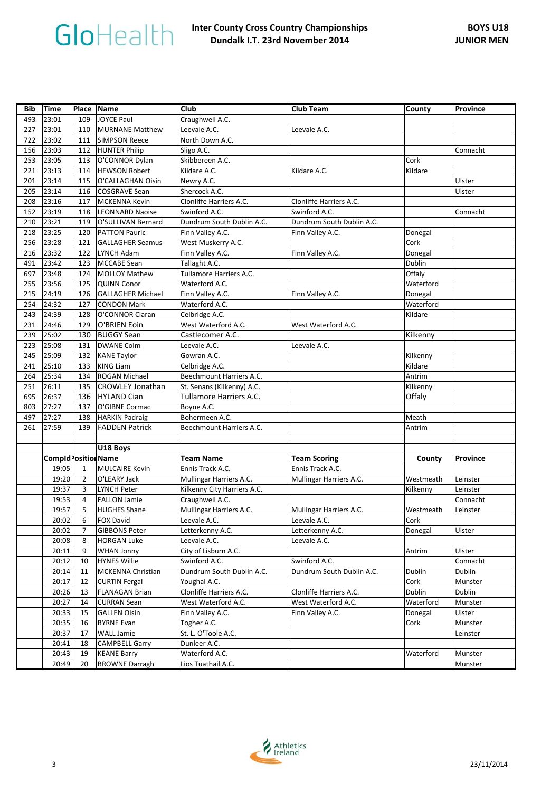| <b>Bib</b> | <b>Time</b>                 |                | Place Name                             | Club                                                  | Club Team                 | County             | Province |
|------------|-----------------------------|----------------|----------------------------------------|-------------------------------------------------------|---------------------------|--------------------|----------|
| 493        | 23:01                       | 109            | JOYCE Paul                             | Craughwell A.C.                                       |                           |                    |          |
| 227        | 23:01                       | 110            | <b>MURNANE Matthew</b>                 | Leevale A.C.                                          | Leevale A.C.              |                    |          |
| 722        | 23:02                       | 111            | <b>SIMPSON Reece</b>                   | North Down A.C.                                       |                           |                    |          |
| 156        | 23:03                       | 112            | <b>HUNTER Philip</b>                   | Sligo A.C.                                            |                           |                    | Connacht |
| 253        | 23:05                       | 113            | O'CONNOR Dylan                         | Skibbereen A.C.                                       |                           | Cork               |          |
| 221        | 23:13                       | 114            | <b>HEWSON Robert</b>                   | Kildare A.C.                                          | Kildare A.C.              | Kildare            |          |
| 201        | 23:14                       | 115            | O'CALLAGHAN Oisin                      | Newry A.C.                                            |                           |                    | Ulster   |
| 205        | 23:14                       | 116            | <b>COSGRAVE Sean</b>                   | Shercock A.C.                                         |                           |                    | Ulster   |
| 208        | 23:16                       | 117            | <b>MCKENNA Kevin</b>                   | Clonliffe Harriers A.C.                               | Clonliffe Harriers A.C.   |                    |          |
| 152        | 23:19                       | 118            | <b>LEONNARD Naoise</b>                 | Swinford A.C.                                         | Swinford A.C.             |                    | Connacht |
| 210        | 23:21                       | 119            | O'SULLIVAN Bernard                     | Dundrum South Dublin A.C.                             | Dundrum South Dublin A.C. |                    |          |
| 218        | 23:25                       | 120            | <b>PATTON Pauric</b>                   | Finn Valley A.C.                                      | Finn Valley A.C.          | Donegal            |          |
| 256        | 23:28                       | 121            | <b>GALLAGHER Seamus</b>                | West Muskerry A.C.                                    |                           | Cork               |          |
| 216        | 23:32                       | 122            | LYNCH Adam                             | Finn Valley A.C.                                      | Finn Valley A.C.          | Donegal            |          |
| 491        | 23:42                       | 123            | <b>MCCABE Sean</b>                     | Tallaght A.C.                                         |                           | Dublin             |          |
| 697        | 23:48                       | 124            | <b>MOLLOY Mathew</b>                   | Tullamore Harriers A.C.                               |                           | Offaly             |          |
| 255        | 23:56                       | 125            | <b>QUINN Conor</b>                     | Waterford A.C.                                        |                           | Waterford          |          |
| 215        | 24:19                       | 126            | <b>GALLAGHER Michael</b>               | Finn Valley A.C.                                      | Finn Valley A.C.          | Donegal            |          |
| 254        | 24:32                       | 127            | <b>CONDON Mark</b>                     | Waterford A.C.                                        |                           | Waterford          |          |
| 243        | 24:39                       | 128            | O'CONNOR Ciaran                        | Celbridge A.C.                                        |                           | Kildare            |          |
| 231        | 24:46                       | 129            | O'BRIEN Eoin                           | West Waterford A.C.                                   | West Waterford A.C.       |                    |          |
| 239        | 25:02                       | 130            | <b>BUGGY Sean</b>                      | Castlecomer A.C.                                      |                           | Kilkenny           |          |
| 223        | 25:08                       | 131            | <b>DWANE Colm</b>                      | Leevale A.C.                                          | Leevale A.C.              |                    |          |
| 245        | 25:09                       | 132            | <b>KANE Taylor</b>                     | Gowran A.C.                                           |                           | Kilkenny           |          |
| 241        | 25:10<br>25:34              | 133            | <b>KING Liam</b>                       | Celbridge A.C.<br>Beechmount Harriers A.C.            |                           | Kildare            |          |
| 264        |                             | 134            | <b>ROGAN Michael</b>                   |                                                       |                           | Antrim             |          |
| 251<br>695 | 26:11<br>26:37              | 135<br>136     | <b>CROWLEY Jonathan</b><br>HYLAND Cian | St. Senans (Kilkenny) A.C.<br>Tullamore Harriers A.C. |                           | Kilkenny<br>Offaly |          |
| 803        | 27:27                       | 137            | O'GIBNE Cormac                         | Boyne A.C.                                            |                           |                    |          |
| 497        | 27:27                       | 138            | <b>HARKIN Padraig</b>                  | Bohermeen A.C.                                        |                           | Meath              |          |
| 261        | 27:59                       | 139            | <b>FADDEN Patrick</b>                  | Beechmount Harriers A.C.                              |                           | Antrim             |          |
|            |                             |                |                                        |                                                       |                           |                    |          |
|            |                             |                | U18 Boys                               |                                                       |                           |                    |          |
|            | <b>Compld</b> Position Name |                |                                        | <b>Team Name</b>                                      | <b>Team Scoring</b>       | County             | Province |
|            | 19:05                       | $\mathbf{1}$   | <b>MULCAIRE Kevin</b>                  | Ennis Track A.C.                                      | Ennis Track A.C.          |                    |          |
|            | 19:20                       | $\overline{2}$ | O'LEARY Jack                           | Mullingar Harriers A.C.                               | Mullingar Harriers A.C.   | Westmeath          | Leinster |
|            | 19:37                       | 3              | <b>LYNCH Peter</b>                     | Kilkenny City Harriers A.C.                           |                           | Kilkenny           | Leinster |
|            | 19:53                       | 4              | <b>FALLON Jamie</b>                    | Craughwell A.C.                                       |                           |                    | Connacht |
|            | 19:57                       | 5              | <b>HUGHES Shane</b>                    | Mullingar Harriers A.C.                               | Mullingar Harriers A.C.   | Westmeath          | Leinster |
|            | 20:02                       | 6              | <b>FOX David</b>                       | Leevale A.C.                                          | Leevale A.C.              | Cork               |          |
|            | 20:02                       | 7              | <b>GIBBONS Peter</b>                   | Letterkenny A.C.                                      | Letterkenny A.C.          | Donegal            | Ulster   |
|            | 20:08                       | 8              | <b>HORGAN Luke</b>                     | Leevale A.C.                                          | Leevale A.C.              |                    |          |
|            | 20:11                       | 9              | WHAN Jonny                             | City of Lisburn A.C.                                  |                           | Antrim             | Ulster   |
|            | 20:12                       | 10             | <b>HYNES Willie</b>                    | Swinford A.C.                                         | Swinford A.C.             |                    | Connacht |
|            | 20:14                       | 11             | MCKENNA Christian                      | Dundrum South Dublin A.C.                             | Dundrum South Dublin A.C. | Dublin             | Dublin   |
|            | 20:17                       | 12             | <b>CURTIN Fergal</b>                   | Youghal A.C.                                          |                           | Cork               | Munster  |
|            | 20:26                       | 13             | <b>FLANAGAN Brian</b>                  | Clonliffe Harriers A.C.                               | Clonliffe Harriers A.C.   | Dublin             | Dublin   |
|            | 20:27                       | 14             | <b>CURRAN Sean</b>                     | West Waterford A.C.                                   | West Waterford A.C.       | Waterford          | Munster  |
|            | 20:33                       | 15             | <b>GALLEN Oisin</b>                    | Finn Valley A.C.                                      | Finn Valley A.C.          | Donegal            | Ulster   |
|            | 20:35                       | 16             | <b>BYRNE Evan</b>                      | Togher A.C.                                           |                           | Cork               | Munster  |
|            | 20:37                       | 17             | <b>WALL Jamie</b>                      | St. L. O'Toole A.C.                                   |                           |                    | Leinster |
|            | 20:41                       | 18             | <b>CAMPBELL Garry</b>                  | Dunleer A.C.                                          |                           |                    |          |
|            | 20:43                       | 19             | <b>KEANE Barry</b>                     | Waterford A.C.                                        |                           | Waterford          | Munster  |
|            | 20:49                       | 20             | <b>BROWNE Darragh</b>                  | Lios Tuathail A.C.                                    |                           |                    | Munster  |

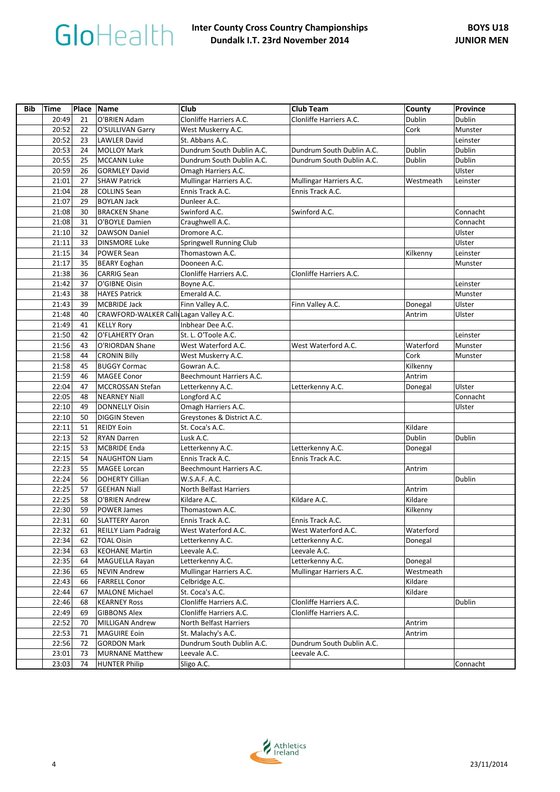| <b>Bib</b> | <b>Time</b> | Place Name |                                        | <b>Club</b>                   | <b>Club Team</b>          | County    | Province |
|------------|-------------|------------|----------------------------------------|-------------------------------|---------------------------|-----------|----------|
|            | 20:49       | 21         | O'BRIEN Adam                           | Clonliffe Harriers A.C.       | Clonliffe Harriers A.C.   | Dublin    | Dublin   |
|            | 20:52       | 22         | O'SULLIVAN Garry                       | West Muskerry A.C.            |                           | Cork      | Munster  |
|            | 20:52       | 23         | LAWLER David                           | St. Abbans A.C.               |                           |           | Leinster |
|            | 20:53       | 24         | <b>MOLLOY Mark</b>                     | Dundrum South Dublin A.C.     | Dundrum South Dublin A.C. | Dublin    | Dublin   |
|            | 20:55       | 25         | <b>MCCANN Luke</b>                     | Dundrum South Dublin A.C.     | Dundrum South Dublin A.C. | Dublin    | Dublin   |
|            | 20:59       | 26         | <b>GORMLEY David</b>                   | Omagh Harriers A.C.           |                           |           | Ulster   |
|            | 21:01       | 27         | <b>SHAW Patrick</b>                    | Mullingar Harriers A.C.       | Mullingar Harriers A.C.   | Westmeath | Leinster |
|            | 21:04       | 28         | <b>COLLINS Sean</b>                    | Ennis Track A.C.              | Ennis Track A.C.          |           |          |
|            | 21:07       | 29         | <b>BOYLAN Jack</b>                     | Dunleer A.C.                  |                           |           |          |
|            | 21:08       | 30         | <b>BRACKEN Shane</b>                   | Swinford A.C.                 | Swinford A.C.             |           | Connacht |
|            | 21:08       | 31         | O'BOYLE Damien                         | Craughwell A.C.               |                           |           | Connacht |
|            | 21:10       | 32         | <b>DAWSON Daniel</b>                   | Dromore A.C.                  |                           |           | Ulster   |
|            | 21:11       | 33         | <b>DINSMORE Luke</b>                   | Springwell Running Club       |                           |           | Ulster   |
|            | 21:15       | 34         | <b>POWER Sean</b>                      | Thomastown A.C.               |                           | Kilkenny  | Leinster |
|            | 21:17       | 35         | <b>BEARY Eoghan</b>                    | Dooneen A.C.                  |                           |           | Munster  |
|            | 21:38       | 36         | <b>CARRIG Sean</b>                     | Clonliffe Harriers A.C.       | Clonliffe Harriers A.C.   |           |          |
|            | 21:42       | 37         | O'GIBNE Oisin                          | Boyne A.C.                    |                           |           | Leinster |
|            | 21:43       | 38         | <b>HAYES Patrick</b>                   | Emerald A.C.                  |                           |           | Munster  |
|            | 21:43       | 39         | <b>MCBRIDE Jack</b>                    | Finn Valley A.C.              | Finn Valley A.C.          | Donegal   | Ulster   |
|            | 21:48       | 40         | CRAWFORD-WALKER Call Lagan Valley A.C. |                               |                           | Antrim    | Ulster   |
|            | 21:49       | 41         | <b>KELLY Rory</b>                      | Inbhear Dee A.C.              |                           |           |          |
|            | 21:50       | 42         | O'FLAHERTY Oran                        | St. L. O'Toole A.C.           |                           |           | Leinster |
|            | 21:56       | 43         | O'RIORDAN Shane                        | West Waterford A.C.           | West Waterford A.C.       | Waterford | Munster  |
|            | 21:58       | 44         | <b>CRONIN Billy</b>                    | West Muskerry A.C.            |                           | Cork      | Munster  |
|            | 21:58       | 45         | <b>BUGGY Cormac</b>                    | Gowran A.C.                   |                           | Kilkenny  |          |
|            | 21:59       | 46         | <b>MAGEE Conor</b>                     | Beechmount Harriers A.C.      |                           | Antrim    |          |
|            | 22:04       | 47         | <b>MCCROSSAN Stefan</b>                | Letterkenny A.C.              | Letterkenny A.C.          | Donegal   | Ulster   |
|            | 22:05       | 48         | <b>NEARNEY Niall</b>                   | Longford A.C                  |                           |           | Connacht |
|            | 22:10       | 49         | <b>DONNELLY Oisin</b>                  | Omagh Harriers A.C.           |                           |           | Ulster   |
|            | 22:10       | 50         | <b>DIGGIN Steven</b>                   | Greystones & District A.C.    |                           |           |          |
|            | 22:11       | 51         | <b>REIDY Eoin</b>                      | St. Coca's A.C.               |                           | Kildare   |          |
|            | 22:13       | 52         | <b>RYAN Darren</b>                     | Lusk A.C.                     |                           | Dublin    | Dublin   |
|            | 22:15       | 53         | <b>MCBRIDE Enda</b>                    | Letterkenny A.C.              | Letterkenny A.C.          | Donegal   |          |
|            | 22:15       | 54         | <b>NAUGHTON Liam</b>                   | Ennis Track A.C.              | Ennis Track A.C.          |           |          |
|            | 22:23       | 55         | MAGEE Lorcan                           | Beechmount Harriers A.C.      |                           | Antrim    |          |
|            | 22:24       | 56         | <b>DOHERTY Cillian</b>                 | W.S.A.F. A.C.                 |                           |           | Dublin   |
|            | 22:25       | 57         | <b>GEEHAN Niall</b>                    | <b>North Belfast Harriers</b> |                           | Antrim    |          |
|            | 22:25       | 58         | O'BRIEN Andrew                         | Kildare A.C.                  | Kildare A.C.              | Kildare   |          |
|            | 22:30       | 59         | <b>POWER James</b>                     | Thomastown A.C.               |                           | Kilkenny  |          |
|            | 22:31       | 60         | <b>SLATTERY Aaron</b>                  | Ennis Track A.C.              | Ennis Track A.C.          |           |          |
|            | 22:32       | 61         | <b>REILLY Liam Padraig</b>             | West Waterford A.C.           | West Waterford A.C.       | Waterford |          |
|            | 22:34       | 62         | <b>TOAL Oisin</b>                      | Letterkenny A.C.              | Letterkenny A.C.          | Donegal   |          |
|            | 22:34       | 63         | <b>KEOHANE Martin</b>                  | Leevale A.C.                  | Leevale A.C.              |           |          |
|            | 22:35       | 64         | MAGUELLA Rayan                         | Letterkenny A.C.              | Letterkenny A.C.          | Donegal   |          |
|            | 22:36       | 65         | <b>NEVIN Andrew</b>                    | Mullingar Harriers A.C.       | Mullingar Harriers A.C.   | Westmeath |          |
|            | 22:43       | 66         | <b>FARRELL Conor</b>                   | Celbridge A.C.                |                           | Kildare   |          |
|            | 22:44       | 67         | <b>MALONE Michael</b>                  | St. Coca's A.C.               |                           | Kildare   |          |
|            | 22:46       | 68         | <b>KEARNEY Ross</b>                    | Clonliffe Harriers A.C.       | Clonliffe Harriers A.C.   |           | Dublin   |
|            | 22:49       | 69         | <b>GIBBONS Alex</b>                    | Clonliffe Harriers A.C.       | Clonliffe Harriers A.C.   |           |          |
|            | 22:52       | 70         | <b>MILLIGAN Andrew</b>                 | North Belfast Harriers        |                           | Antrim    |          |
|            | 22:53       | 71         | <b>MAGUIRE Eoin</b>                    | St. Malachy's A.C.            |                           | Antrim    |          |
|            | 22:56       | 72         | <b>GORDON Mark</b>                     | Dundrum South Dublin A.C.     | Dundrum South Dublin A.C. |           |          |
|            | 23:01       | 73         | <b>MURNANE Matthew</b>                 | Leevale A.C.                  | Leevale A.C.              |           |          |
|            | 23:03       | 74         | HUNTER Philip                          | Sligo A.C.                    |                           |           | Connacht |

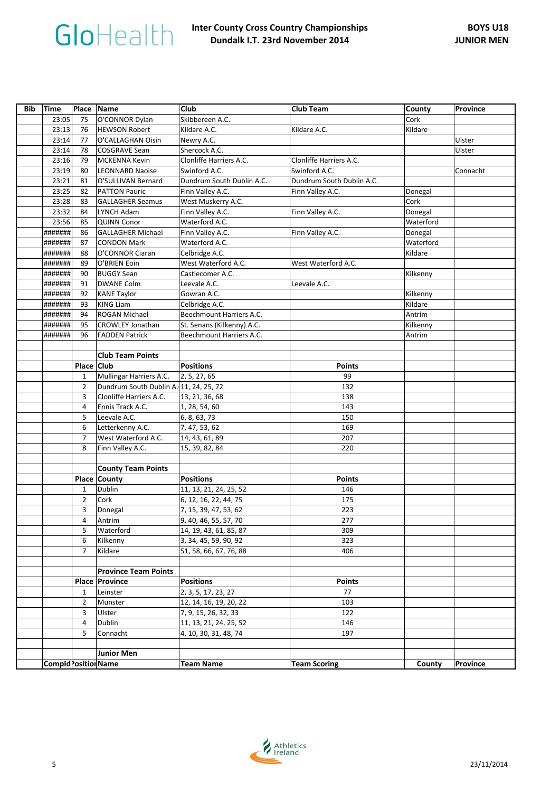| <b>Bib</b> | Time                       | Place Name     |                                        | <b>Club</b>                | <b>Club Team</b>          | County    | Province |
|------------|----------------------------|----------------|----------------------------------------|----------------------------|---------------------------|-----------|----------|
|            | 23:05                      | 75             | O'CONNOR Dylan                         | Skibbereen A.C.            |                           | Cork      |          |
|            | 23:13                      | 76             | <b>HEWSON Robert</b>                   | Kildare A.C.               | Kildare A.C.              | Kildare   |          |
|            | 23:14                      | 77             | O'CALLAGHAN Oisin                      | Newry A.C.                 |                           |           | Ulster   |
|            | 23:14                      | 78             | <b>COSGRAVE Sean</b>                   | Shercock A.C.              |                           |           | Ulster   |
|            | 23:16                      | 79             | MCKENNA Kevin                          | Clonliffe Harriers A.C.    | Clonliffe Harriers A.C.   |           |          |
|            | 23:19                      | 80             | <b>LEONNARD Naoise</b>                 | Swinford A.C.              | Swinford A.C.             |           | Connacht |
|            | 23:21                      | 81             | O'SULLIVAN Bernard                     | Dundrum South Dublin A.C.  | Dundrum South Dublin A.C. |           |          |
|            | 23:25                      | 82             | <b>PATTON Pauric</b>                   | Finn Valley A.C.           | Finn Valley A.C.          | Donegal   |          |
|            | 23:28                      | 83             | <b>GALLAGHER Seamus</b>                | West Muskerry A.C.         |                           | Cork      |          |
|            | 23:32                      | 84             | LYNCH Adam                             | Finn Valley A.C.           | Finn Valley A.C.          | Donegal   |          |
|            | 23:56                      | 85             | <b>QUINN Conor</b>                     | Waterford A.C.             |                           | Waterford |          |
|            | #######                    | 86             | <b>GALLAGHER Michael</b>               | Finn Valley A.C.           | Finn Valley A.C.          | Donegal   |          |
|            | #######                    | 87             | <b>CONDON Mark</b>                     | Waterford A.C.             |                           | Waterford |          |
|            | #######                    | 88             | O'CONNOR Ciaran                        | Celbridge A.C.             |                           | Kildare   |          |
|            | #######                    | 89             | O'BRIEN Eoin                           | West Waterford A.C.        | West Waterford A.C.       |           |          |
|            | #######                    | 90             | <b>BUGGY Sean</b>                      | Castlecomer A.C.           |                           | Kilkenny  |          |
|            | #######                    | 91             | <b>DWANE Colm</b>                      | Leevale A.C.               | Leevale A.C.              |           |          |
|            | #######                    | 92             | <b>KANE Taylor</b>                     | Gowran A.C.                |                           | Kilkenny  |          |
|            | #######                    | 93             | <b>KING Liam</b>                       | Celbridge A.C.             |                           | Kildare   |          |
|            | #######                    | 94             | <b>ROGAN Michael</b>                   | Beechmount Harriers A.C.   |                           | Antrim    |          |
|            | #######                    | 95             | <b>CROWLEY Jonathan</b>                | St. Senans (Kilkenny) A.C. |                           | Kilkenny  |          |
|            | #######                    | 96             | <b>FADDEN Patrick</b>                  | Beechmount Harriers A.C.   |                           | Antrim    |          |
|            |                            |                |                                        |                            |                           |           |          |
|            |                            |                | <b>Club Team Points</b>                |                            |                           |           |          |
|            |                            | Place          | <b>Club</b>                            | <b>Positions</b>           | <b>Points</b>             |           |          |
|            |                            | $\mathbf{1}$   | Mullingar Harriers A.C.                | 2, 5, 27, 65               | 99                        |           |          |
|            |                            | $\overline{2}$ | Dundrum South Dublin A. 11, 24, 25, 72 |                            | 132                       |           |          |
|            |                            | 3              | Clonliffe Harriers A.C.                | 13, 21, 36, 68             | 138                       |           |          |
|            |                            | 4              | Ennis Track A.C.                       | 1, 28, 54, 60              | 143                       |           |          |
|            |                            | 5              | Leevale A.C.                           | 6, 8, 63, 73               | 150                       |           |          |
|            |                            | 6              | Letterkenny A.C.                       | 7, 47, 53, 62              | 169                       |           |          |
|            |                            | $\overline{7}$ | West Waterford A.C.                    | 14, 43, 61, 89             | 207                       |           |          |
|            |                            | 8              | Finn Valley A.C.                       | 15, 39, 82, 84             | 220                       |           |          |
|            |                            |                |                                        |                            |                           |           |          |
|            |                            |                | <b>County Team Points</b>              |                            |                           |           |          |
|            |                            |                | Place County                           | <b>Positions</b>           | <b>Points</b>             |           |          |
|            |                            | $\mathbf{1}$   | Dublin                                 | 11, 13, 21, 24, 25, 52     | 146                       |           |          |
|            |                            | 2              | Cork                                   | 6, 12, 16, 22, 44, 75      | 175                       |           |          |
|            |                            | 3              | Donegal                                | 7, 15, 39, 47, 53, 62      | 223                       |           |          |
|            |                            | 4              | Antrim                                 | 9, 40, 46, 55, 57, 70      | 277                       |           |          |
|            |                            | 5              | Waterford                              | 14, 19, 43, 61, 85, 87     | 309                       |           |          |
|            |                            | 6              | Kilkenny                               | 3, 34, 45, 59, 90, 92      | 323                       |           |          |
|            |                            | $\overline{7}$ | Kildare                                | 51, 58, 66, 67, 76, 88     | 406                       |           |          |
|            |                            |                |                                        |                            |                           |           |          |
|            |                            |                | <b>Province Team Points</b>            |                            |                           |           |          |
|            |                            |                | <b>Place Province</b>                  | <b>Positions</b>           | <b>Points</b>             |           |          |
|            |                            | 1              | Leinster                               | 2, 3, 5, 17, 23, 27        | 77                        |           |          |
|            |                            | $\overline{2}$ | Munster                                | 12, 14, 16, 19, 20, 22     | 103                       |           |          |
|            |                            | 3              | Ulster                                 | 7, 9, 15, 26, 32, 33       | 122                       |           |          |
|            |                            | 4              | Dublin                                 | 11, 13, 21, 24, 25, 52     | 146                       |           |          |
|            |                            | 5              | Connacht                               | 4, 10, 30, 31, 48, 74      | 197                       |           |          |
|            |                            |                |                                        |                            |                           |           |          |
|            |                            |                | <b>Junior Men</b>                      |                            |                           |           |          |
|            | <b>CompldPosition Name</b> |                |                                        | <b>Team Name</b>           | <b>Team Scoring</b>       | County    | Province |
|            |                            |                |                                        |                            |                           |           |          |